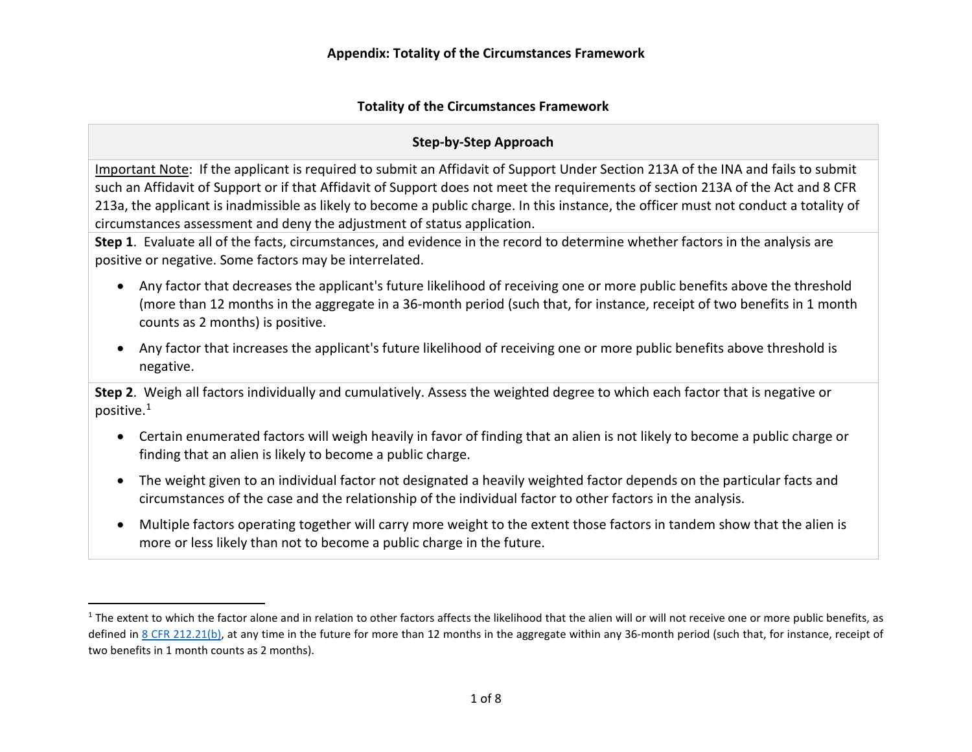### <span id="page-0-0"></span>**Step-by-Step Approach**

Important Note: If the applicant is required to submit an Affidavit of Support Under Section 213A of the INA and fails to submit 213a, the applicant is inadmissible as likely to become a public charge. In this instance, the officer must not conduct a totality of such an Affidavit of Support or if that Affidavit of Support does not meet the requirements of section 213A of the Act and 8 CFR circumstances assessment and deny the adjustment of status application.

 **Step 1**. Evaluate all of the facts, circumstances, and evidence in the record to determine whether factors in the analysis are positive or negative. Some factors may be interrelated.

- • Any factor that decreases the applicant's future likelihood of receiving one or more public benefits above the threshold (more than 12 months in the aggregate in a 36-month period (such that, for instance, receipt of two benefits in 1 month counts as 2 months) is positive.
- • Any factor that increases the applicant's future likelihood of receiving one or more public benefits above threshold is negative.

 **Step 2**. Weigh all factors individually and cumulatively. Assess the weighted degree to which each factor that is negative or positive. $1$ 

- • Certain enumerated factors will weigh heavily in favor of finding that an alien is not likely to become a public charge or finding that an alien is likely to become a public charge.
- The weight given to an individual factor not designated a heavily weighted factor depends on the particular facts and circumstances of the case and the relationship of the individual factor to other factors in the analysis.
- more or less likely than not to become a public charge in the future. • Multiple factors operating together will carry more weight to the extent those factors in tandem show that the alien is

 $\overline{a}$ 

defined in [8 CFR 212.21\(b\),](https://www.ecfr.gov/cgi-bin/text-idx?&node=se8.1.212_121) at any time in the future for more than 12 months in the aggregate within any 36-month period (such that, for instance, receipt of  $1$  The extent to which the factor alone and in relation to other factors affects the likelihood that the alien will or will not receive one or more public benefits, as two benefits in 1 month counts as 2 months).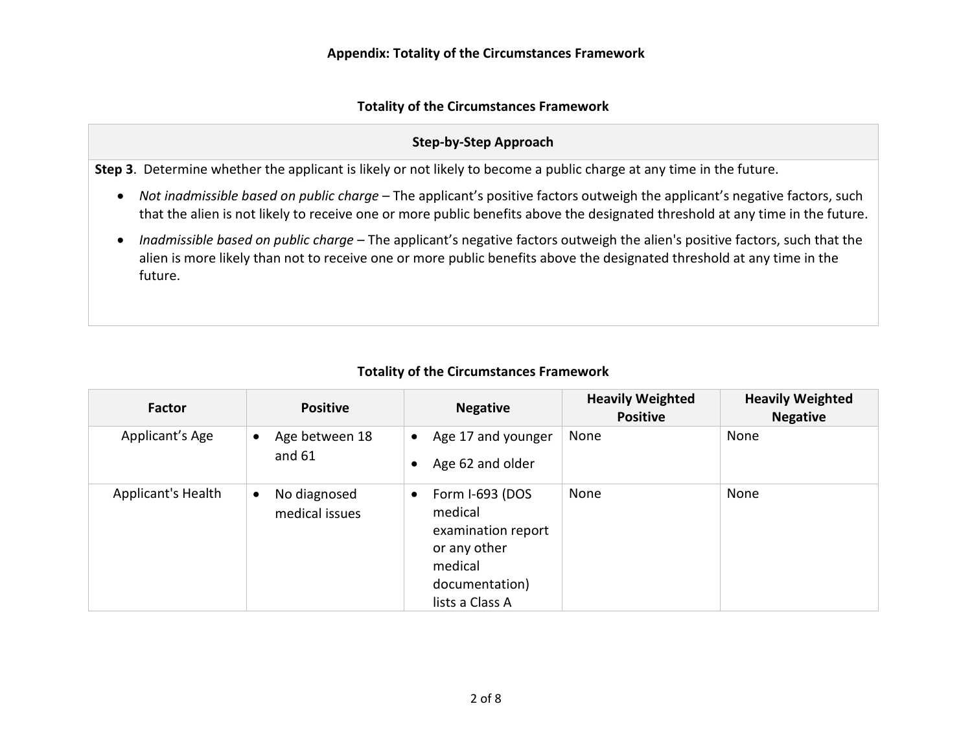### **Step-by-Step Approach**

**Step 3**. Determine whether the applicant is likely or not likely to become a public charge at any time in the future.

- • *Not inadmissible based on public charge*  The applicant's positive factors outweigh the applicant's negative factors, such that the alien is not likely to receive one or more public benefits above the designated threshold at any time in the future.
- • *Inadmissible based on public charge*  The applicant's negative factors outweigh the alien's positive factors, such that the alien is more likely than not to receive one or more public benefits above the designated threshold at any time in the future.

| <b>Factor</b>      | <b>Positive</b>                             | <b>Negative</b>                                                                                                               | <b>Heavily Weighted</b><br><b>Positive</b> | <b>Heavily Weighted</b><br><b>Negative</b> |
|--------------------|---------------------------------------------|-------------------------------------------------------------------------------------------------------------------------------|--------------------------------------------|--------------------------------------------|
| Applicant's Age    | Age between 18<br>$\bullet$<br>and $61$     | Age 17 and younger<br>$\bullet$<br>Age 62 and older                                                                           | None                                       | None                                       |
| Applicant's Health | No diagnosed<br>$\bullet$<br>medical issues | Form I-693 (DOS<br>$\bullet$<br>medical<br>examination report<br>or any other<br>medical<br>documentation)<br>lists a Class A | None                                       | None                                       |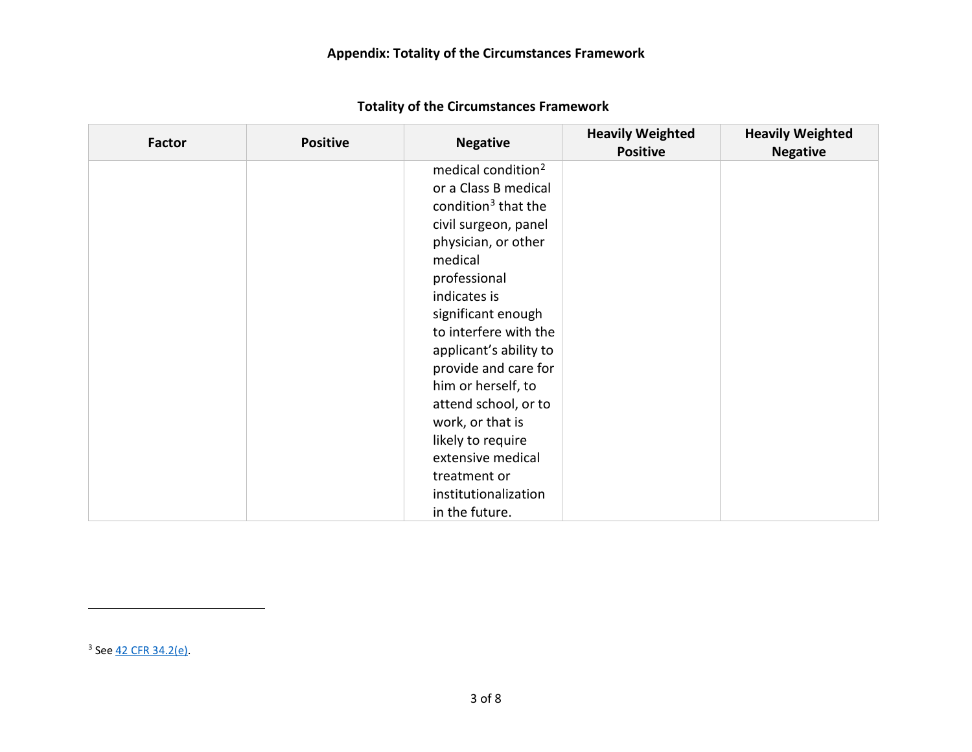<span id="page-2-1"></span><span id="page-2-0"></span>

| Factor | <b>Positive</b> | <b>Negative</b>                 | <b>Heavily Weighted</b><br><b>Positive</b> | <b>Heavily Weighted</b><br><b>Negative</b> |
|--------|-----------------|---------------------------------|--------------------------------------------|--------------------------------------------|
|        |                 | medical condition <sup>2</sup>  |                                            |                                            |
|        |                 | or a Class B medical            |                                            |                                            |
|        |                 | condition <sup>3</sup> that the |                                            |                                            |
|        |                 | civil surgeon, panel            |                                            |                                            |
|        |                 | physician, or other             |                                            |                                            |
|        |                 | medical                         |                                            |                                            |
|        |                 | professional                    |                                            |                                            |
|        |                 | indicates is                    |                                            |                                            |
|        |                 | significant enough              |                                            |                                            |
|        |                 | to interfere with the           |                                            |                                            |
|        |                 | applicant's ability to          |                                            |                                            |
|        |                 | provide and care for            |                                            |                                            |
|        |                 | him or herself, to              |                                            |                                            |
|        |                 | attend school, or to            |                                            |                                            |
|        |                 | work, or that is                |                                            |                                            |
|        |                 | likely to require               |                                            |                                            |
|        |                 | extensive medical               |                                            |                                            |
|        |                 | treatment or                    |                                            |                                            |
|        |                 | institutionalization            |                                            |                                            |
|        |                 | in the future.                  |                                            |                                            |

<sup>3</sup> See <u>42 CFR 34.2(e)</u>.

 $\overline{\phantom{a}}$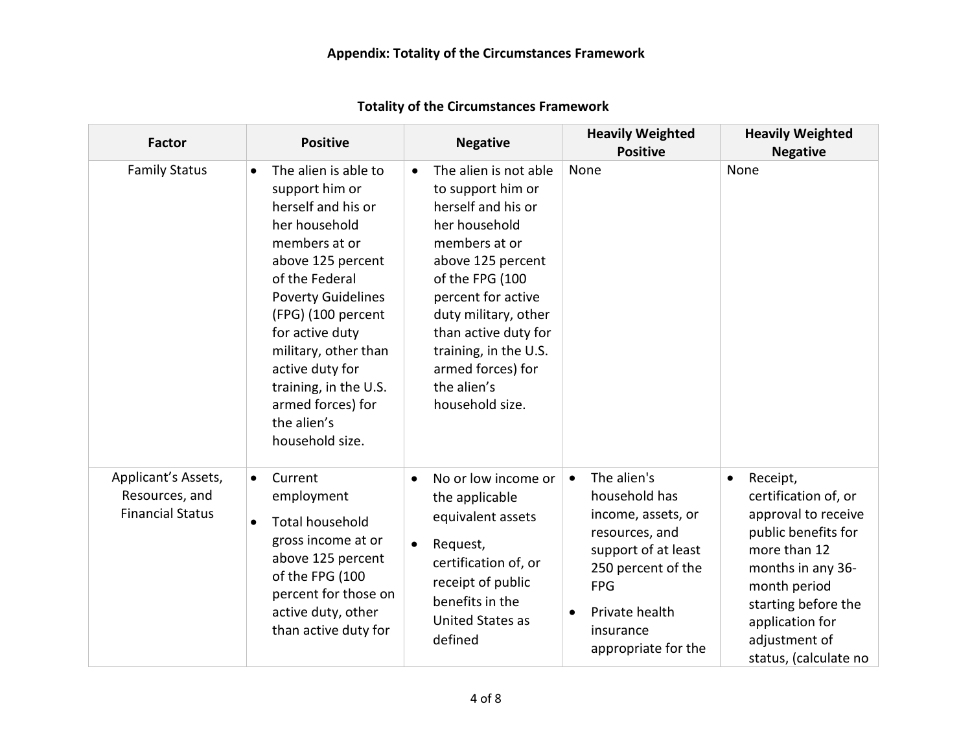| <b>Factor</b>                                                    | <b>Positive</b>                                                                                                                                                                                                                                                                                                                                     | <b>Negative</b>                                                                                                                                                                                                                                                                                               | <b>Heavily Weighted</b><br><b>Positive</b>                                                                                                                                                                      | <b>Heavily Weighted</b><br><b>Negative</b>                                                                                                                                                                                           |
|------------------------------------------------------------------|-----------------------------------------------------------------------------------------------------------------------------------------------------------------------------------------------------------------------------------------------------------------------------------------------------------------------------------------------------|---------------------------------------------------------------------------------------------------------------------------------------------------------------------------------------------------------------------------------------------------------------------------------------------------------------|-----------------------------------------------------------------------------------------------------------------------------------------------------------------------------------------------------------------|--------------------------------------------------------------------------------------------------------------------------------------------------------------------------------------------------------------------------------------|
| <b>Family Status</b>                                             | The alien is able to<br>$\bullet$<br>support him or<br>herself and his or<br>her household<br>members at or<br>above 125 percent<br>of the Federal<br><b>Poverty Guidelines</b><br>(FPG) (100 percent<br>for active duty<br>military, other than<br>active duty for<br>training, in the U.S.<br>armed forces) for<br>the alien's<br>household size. | The alien is not able<br>$\bullet$<br>to support him or<br>herself and his or<br>her household<br>members at or<br>above 125 percent<br>of the FPG (100<br>percent for active<br>duty military, other<br>than active duty for<br>training, in the U.S.<br>armed forces) for<br>the alien's<br>household size. | None                                                                                                                                                                                                            | None                                                                                                                                                                                                                                 |
| Applicant's Assets,<br>Resources, and<br><b>Financial Status</b> | Current<br>$\bullet$<br>employment<br><b>Total household</b><br>$\bullet$<br>gross income at or<br>above 125 percent<br>of the FPG (100<br>percent for those on<br>active duty, other<br>than active duty for                                                                                                                                       | No or low income or<br>$\bullet$<br>the applicable<br>equivalent assets<br>Request,<br>$\bullet$<br>certification of, or<br>receipt of public<br>benefits in the<br><b>United States as</b><br>defined                                                                                                        | The alien's<br>$\bullet$<br>household has<br>income, assets, or<br>resources, and<br>support of at least<br>250 percent of the<br><b>FPG</b><br>Private health<br>$\bullet$<br>insurance<br>appropriate for the | Receipt,<br>$\bullet$<br>certification of, or<br>approval to receive<br>public benefits for<br>more than 12<br>months in any 36-<br>month period<br>starting before the<br>application for<br>adjustment of<br>status, (calculate no |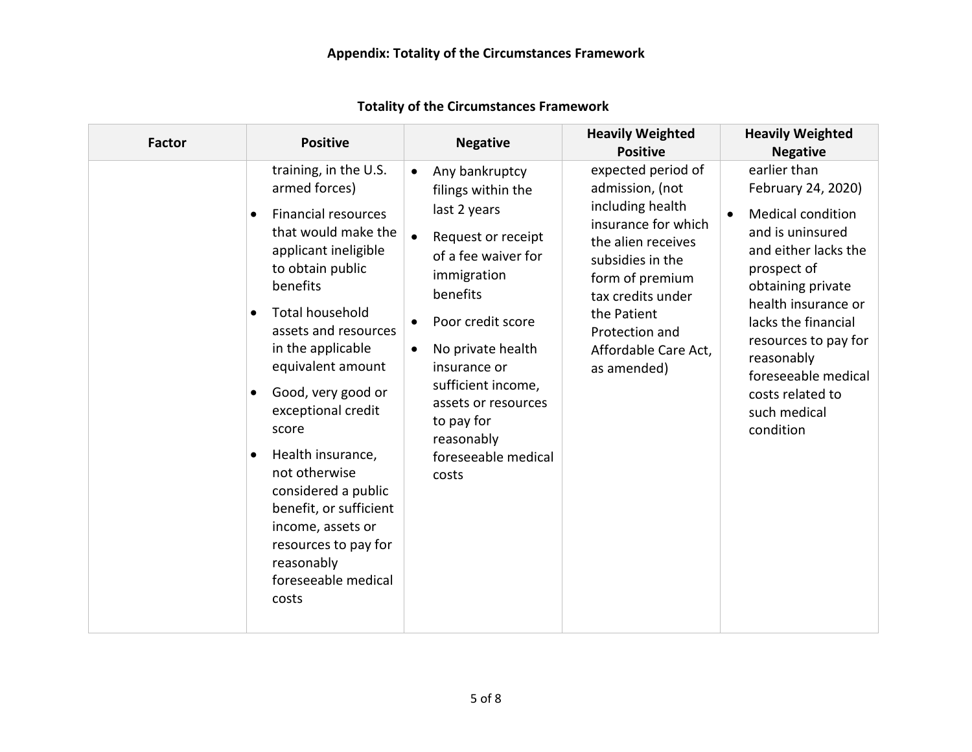| <b>Factor</b> | <b>Positive</b>                                                                                                                                                                                                                                                                                                                                                                                                                                                                                     | <b>Negative</b>                                                                                                                                                                                                                                                                                                                             | <b>Heavily Weighted</b><br><b>Positive</b>                                                                                                                                                                                                 | <b>Heavily Weighted</b><br><b>Negative</b>                                                                                                                                                                                                                                                                              |
|---------------|-----------------------------------------------------------------------------------------------------------------------------------------------------------------------------------------------------------------------------------------------------------------------------------------------------------------------------------------------------------------------------------------------------------------------------------------------------------------------------------------------------|---------------------------------------------------------------------------------------------------------------------------------------------------------------------------------------------------------------------------------------------------------------------------------------------------------------------------------------------|--------------------------------------------------------------------------------------------------------------------------------------------------------------------------------------------------------------------------------------------|-------------------------------------------------------------------------------------------------------------------------------------------------------------------------------------------------------------------------------------------------------------------------------------------------------------------------|
|               | training, in the U.S.<br>armed forces)<br><b>Financial resources</b><br>$\bullet$<br>that would make the<br>applicant ineligible<br>to obtain public<br>benefits<br><b>Total household</b><br>assets and resources<br>in the applicable<br>equivalent amount<br>Good, very good or<br>exceptional credit<br>score<br>Health insurance,<br>not otherwise<br>considered a public<br>benefit, or sufficient<br>income, assets or<br>resources to pay for<br>reasonably<br>foreseeable medical<br>costs | Any bankruptcy<br>$\bullet$<br>filings within the<br>last 2 years<br>$\bullet$<br>Request or receipt<br>of a fee waiver for<br>immigration<br>benefits<br>Poor credit score<br>٠<br>No private health<br>$\bullet$<br>insurance or<br>sufficient income,<br>assets or resources<br>to pay for<br>reasonably<br>foreseeable medical<br>costs | expected period of<br>admission, (not<br>including health<br>insurance for which<br>the alien receives<br>subsidies in the<br>form of premium<br>tax credits under<br>the Patient<br>Protection and<br>Affordable Care Act,<br>as amended) | earlier than<br>February 24, 2020)<br><b>Medical condition</b><br>$\bullet$<br>and is uninsured<br>and either lacks the<br>prospect of<br>obtaining private<br>health insurance or<br>lacks the financial<br>resources to pay for<br>reasonably<br>foreseeable medical<br>costs related to<br>such medical<br>condition |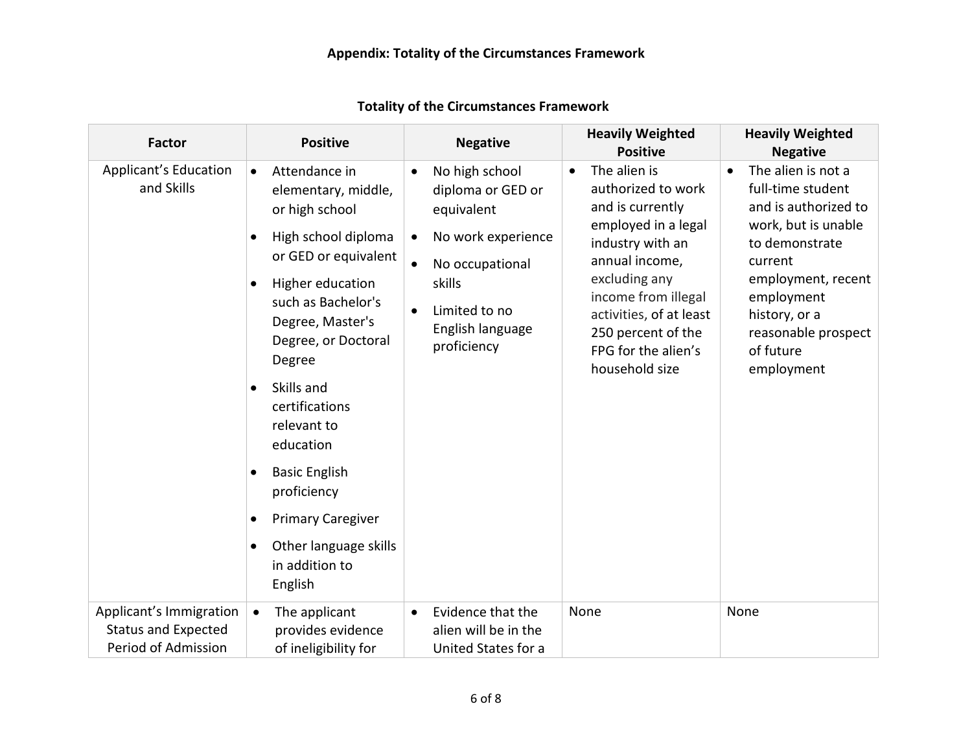| <b>Factor</b>                                                                | <b>Positive</b>                                                                                                                                                                                                                                                                                                                                                                                                                                                              | <b>Negative</b>                                                                                                                                                                                              | <b>Heavily Weighted</b><br><b>Positive</b>                                                                                                                                                                                                                         | <b>Heavily Weighted</b><br><b>Negative</b>                                                                                                                                                                                              |
|------------------------------------------------------------------------------|------------------------------------------------------------------------------------------------------------------------------------------------------------------------------------------------------------------------------------------------------------------------------------------------------------------------------------------------------------------------------------------------------------------------------------------------------------------------------|--------------------------------------------------------------------------------------------------------------------------------------------------------------------------------------------------------------|--------------------------------------------------------------------------------------------------------------------------------------------------------------------------------------------------------------------------------------------------------------------|-----------------------------------------------------------------------------------------------------------------------------------------------------------------------------------------------------------------------------------------|
| <b>Applicant's Education</b><br>and Skills                                   | Attendance in<br>$\bullet$<br>elementary, middle,<br>or high school<br>High school diploma<br>$\bullet$<br>or GED or equivalent<br>Higher education<br>$\bullet$<br>such as Bachelor's<br>Degree, Master's<br>Degree, or Doctoral<br>Degree<br>Skills and<br>$\bullet$<br>certifications<br>relevant to<br>education<br><b>Basic English</b><br>$\bullet$<br>proficiency<br><b>Primary Caregiver</b><br>٠<br>Other language skills<br>$\bullet$<br>in addition to<br>English | No high school<br>$\bullet$<br>diploma or GED or<br>equivalent<br>No work experience<br>$\bullet$<br>No occupational<br>$\bullet$<br>skills<br>Limited to no<br>$\bullet$<br>English language<br>proficiency | The alien is<br>$\bullet$<br>authorized to work<br>and is currently<br>employed in a legal<br>industry with an<br>annual income,<br>excluding any<br>income from illegal<br>activities, of at least<br>250 percent of the<br>FPG for the alien's<br>household size | The alien is not a<br>$\bullet$<br>full-time student<br>and is authorized to<br>work, but is unable<br>to demonstrate<br>current<br>employment, recent<br>employment<br>history, or a<br>reasonable prospect<br>of future<br>employment |
| Applicant's Immigration<br><b>Status and Expected</b><br>Period of Admission | The applicant<br>$\bullet$<br>provides evidence<br>of ineligibility for                                                                                                                                                                                                                                                                                                                                                                                                      | Evidence that the<br>$\bullet$<br>alien will be in the<br>United States for a                                                                                                                                | None                                                                                                                                                                                                                                                               | None                                                                                                                                                                                                                                    |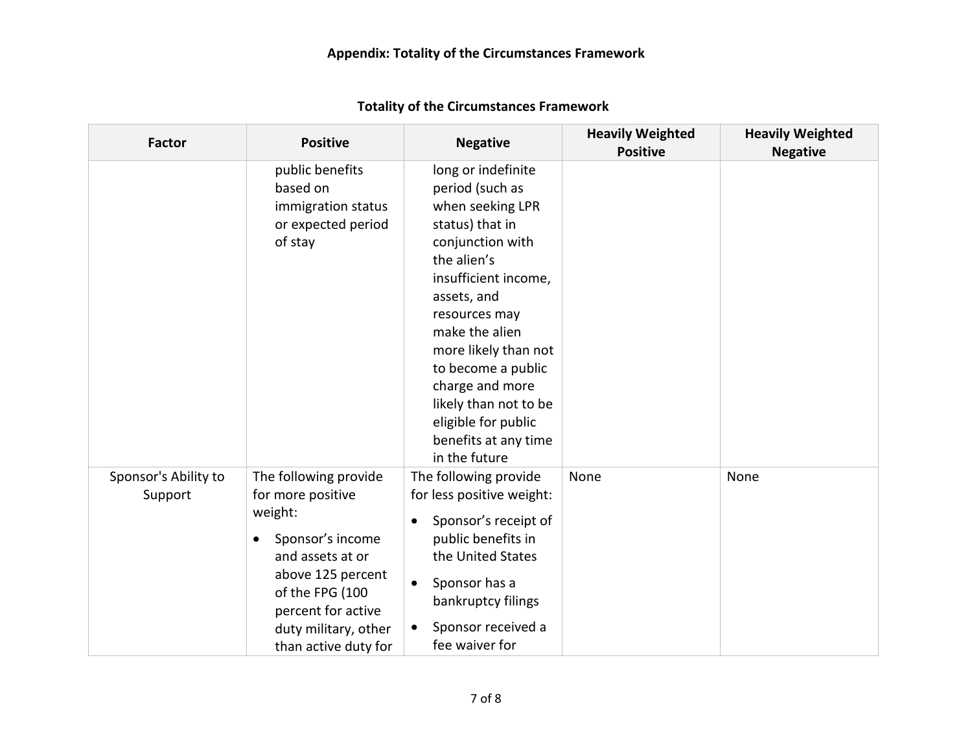| <b>Factor</b>                   | <b>Positive</b>                                                                                                                                                                                                          | <b>Negative</b>                                                                                                                                                                                                                                                                                                                                     | <b>Heavily Weighted</b><br><b>Positive</b> | <b>Heavily Weighted</b><br><b>Negative</b> |
|---------------------------------|--------------------------------------------------------------------------------------------------------------------------------------------------------------------------------------------------------------------------|-----------------------------------------------------------------------------------------------------------------------------------------------------------------------------------------------------------------------------------------------------------------------------------------------------------------------------------------------------|--------------------------------------------|--------------------------------------------|
|                                 | public benefits<br>based on<br>immigration status<br>or expected period<br>of stay                                                                                                                                       | long or indefinite<br>period (such as<br>when seeking LPR<br>status) that in<br>conjunction with<br>the alien's<br>insufficient income,<br>assets, and<br>resources may<br>make the alien<br>more likely than not<br>to become a public<br>charge and more<br>likely than not to be<br>eligible for public<br>benefits at any time<br>in the future |                                            |                                            |
| Sponsor's Ability to<br>Support | The following provide<br>for more positive<br>weight:<br>Sponsor's income<br>$\bullet$<br>and assets at or<br>above 125 percent<br>of the FPG (100<br>percent for active<br>duty military, other<br>than active duty for | The following provide<br>for less positive weight:<br>Sponsor's receipt of<br>$\bullet$<br>public benefits in<br>the United States<br>Sponsor has a<br>$\bullet$<br>bankruptcy filings<br>Sponsor received a<br>$\bullet$<br>fee waiver for                                                                                                         | None                                       | None                                       |